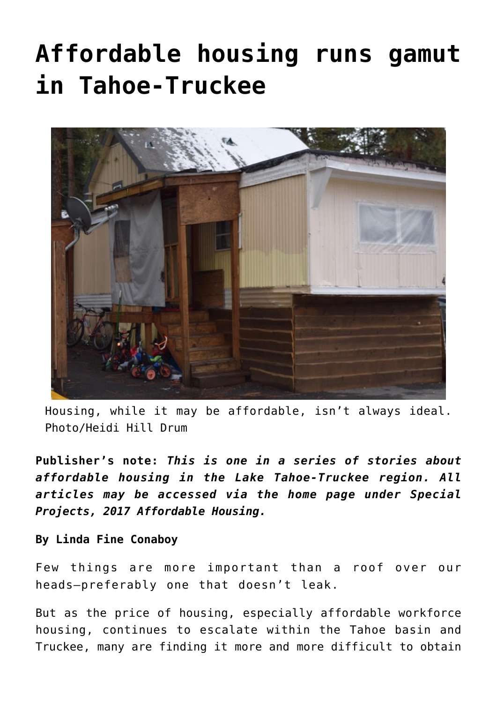# **[Affordable housing runs gamut](https://www.laketahoenews.net/2017/11/affordable-housing-runs-gamut-tahoe-truckee/) [in Tahoe-Truckee](https://www.laketahoenews.net/2017/11/affordable-housing-runs-gamut-tahoe-truckee/)**



Housing, while it may be affordable, isn't always ideal. Photo/Heidi Hill Drum

**Publisher's note:** *This is one in a series of stories about affordable housing in the Lake Tahoe-Truckee region. All articles may be accessed via the home page under Special Projects, 2017 Affordable Housing.*

#### **By Linda Fine Conaboy**

Few things are more important than a roof over our heads—preferably one that doesn't leak.

But as the price of housing, especially affordable workforce housing, continues to escalate within the Tahoe basin and Truckee, many are finding it more and more difficult to obtain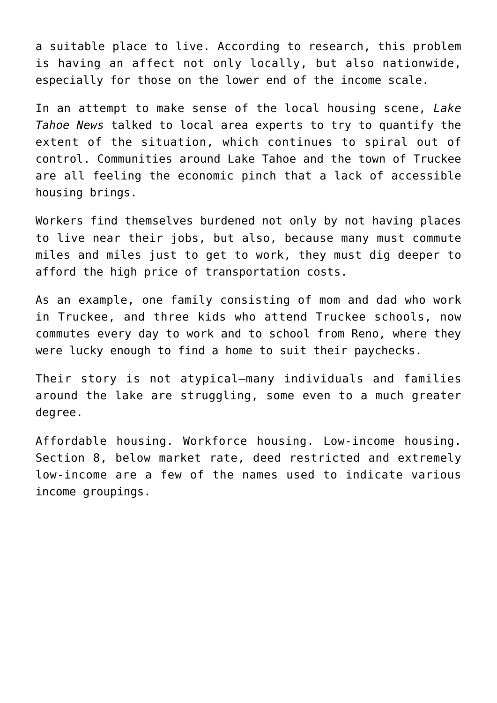a suitable place to live. According to research, this problem is having an affect not only locally, but also nationwide, especially for those on the lower end of the income scale.

In an attempt to make sense of the local housing scene, *Lake Tahoe News* talked to local area experts to try to quantify the extent of the situation, which continues to spiral out of control. Communities around Lake Tahoe and the town of Truckee are all feeling the economic pinch that a lack of accessible housing brings.

Workers find themselves burdened not only by not having places to live near their jobs, but also, because many must commute miles and miles just to get to work, they must dig deeper to afford the high price of transportation costs.

As an example, one family consisting of mom and dad who work in Truckee, and three kids who attend Truckee schools, now commutes every day to work and to school from Reno, where they were lucky enough to find a home to suit their paychecks.

Their story is not atypical—many individuals and families around the lake are struggling, some even to a much greater degree.

Affordable housing. Workforce housing. Low-income housing. Section 8, below market rate, deed restricted and extremely low-income are a few of the names used to indicate various income groupings.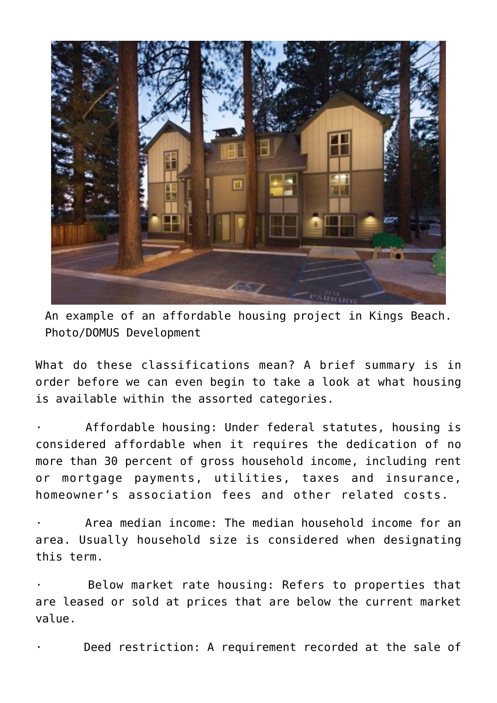

An example of an affordable housing project in Kings Beach. Photo/DOMUS Development

What do these classifications mean? A brief summary is in order before we can even begin to take a look at what housing is available within the assorted categories.

Affordable housing: Under federal statutes, housing is considered affordable when it requires the dedication of no more than 30 percent of gross household income, including rent or mortgage payments, utilities, taxes and insurance, homeowner's association fees and other related costs.

Area median income: The median household income for an area. Usually household size is considered when designating this term.

Below market rate housing: Refers to properties that are leased or sold at prices that are below the current market value.

Deed restriction: A requirement recorded at the sale of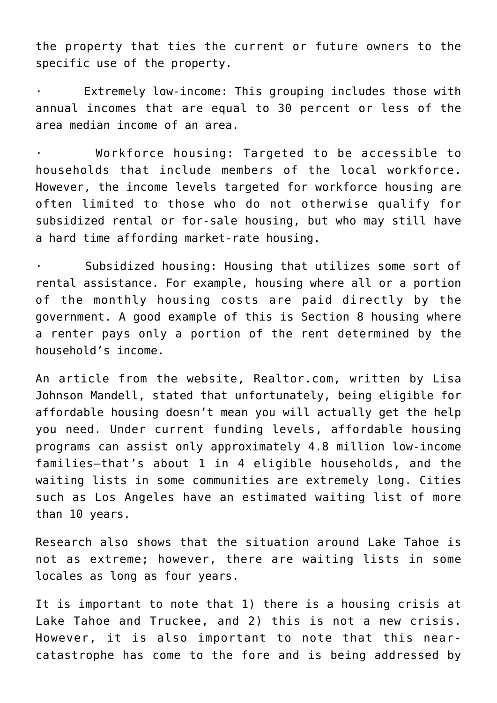the property that ties the current or future owners to the specific use of the property.

Extremely low-income: This grouping includes those with annual incomes that are equal to 30 percent or less of the area median income of an area.

Workforce housing: Targeted to be accessible to households that include members of the local workforce. However, the income levels targeted for workforce housing are often limited to those who do not otherwise qualify for subsidized rental or for-sale housing, but who may still have a hard time affording market-rate housing.

Subsidized housing: Housing that utilizes some sort of rental assistance. For example, housing where all or a portion of the monthly housing costs are paid directly by the government. A good example of this is Section 8 housing where a renter pays only a portion of the rent determined by the household's income.

An article from the website, Realtor.com, written by Lisa Johnson Mandell, stated that unfortunately, being eligible for affordable housing doesn't mean you will actually get the help you need. Under current funding levels, affordable housing programs can assist only approximately 4.8 million low-income families—that's about 1 in 4 eligible households, and the waiting lists in some communities are extremely long. Cities such as Los Angeles have an estimated waiting list of more than 10 years.

Research also shows that the situation around Lake Tahoe is not as extreme; however, there are waiting lists in some locales as long as four years.

It is important to note that 1) there is a housing crisis at Lake Tahoe and Truckee, and 2) this is not a new crisis. However, it is also important to note that this nearcatastrophe has come to the fore and is being addressed by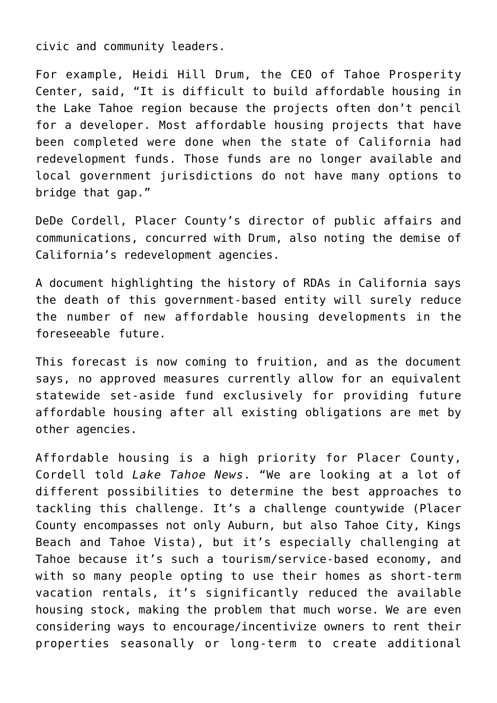civic and community leaders.

For example, Heidi Hill Drum, the CEO of Tahoe Prosperity Center, said, "It is difficult to build affordable housing in the Lake Tahoe region because the projects often don't pencil for a developer. Most affordable housing projects that have been completed were done when the state of California had redevelopment funds. Those funds are no longer available and local government jurisdictions do not have many options to bridge that gap."

DeDe Cordell, Placer County's director of public affairs and communications, concurred with Drum, also noting the demise of California's redevelopment agencies.

A document highlighting the history of RDAs in California says the death of this government-based entity will surely reduce the number of new affordable housing developments in the foreseeable future.

This forecast is now coming to fruition, and as the document says, no approved measures currently allow for an equivalent statewide set-aside fund exclusively for providing future affordable housing after all existing obligations are met by other agencies.

Affordable housing is a high priority for Placer County, Cordell told *Lake Tahoe News*. "We are looking at a lot of different possibilities to determine the best approaches to tackling this challenge. It's a challenge countywide (Placer County encompasses not only Auburn, but also Tahoe City, Kings Beach and Tahoe Vista), but it's especially challenging at Tahoe because it's such a tourism/service-based economy, and with so many people opting to use their homes as short-term vacation rentals, it's significantly reduced the available housing stock, making the problem that much worse. We are even considering ways to encourage/incentivize owners to rent their properties seasonally or long-term to create additional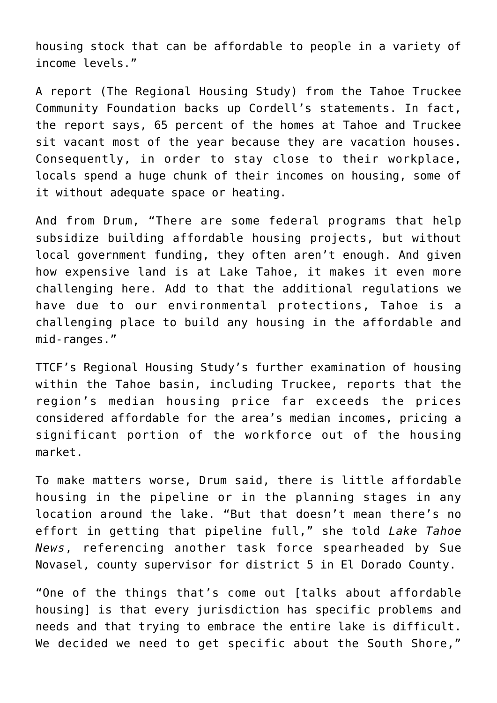housing stock that can be affordable to people in a variety of income levels."

A report (The Regional Housing Study) from the Tahoe Truckee Community Foundation backs up Cordell's statements. In fact, the report says, 65 percent of the homes at Tahoe and Truckee sit vacant most of the year because they are vacation houses. Consequently, in order to stay close to their workplace, locals spend a huge chunk of their incomes on housing, some of it without adequate space or heating.

And from Drum, "There are some federal programs that help subsidize building affordable housing projects, but without local government funding, they often aren't enough. And given how expensive land is at Lake Tahoe, it makes it even more challenging here. Add to that the additional regulations we have due to our environmental protections, Tahoe is a challenging place to build any housing in the affordable and mid-ranges."

TTCF's Regional Housing Study's further examination of housing within the Tahoe basin, including Truckee, reports that the region's median housing price far exceeds the prices considered affordable for the area's median incomes, pricing a significant portion of the workforce out of the housing market.

To make matters worse, Drum said, there is little affordable housing in the pipeline or in the planning stages in any location around the lake. "But that doesn't mean there's no effort in getting that pipeline full," she told *Lake Tahoe News*, referencing another task force spearheaded by Sue Novasel, county supervisor for district 5 in El Dorado County.

"One of the things that's come out [talks about affordable housing] is that every jurisdiction has specific problems and needs and that trying to embrace the entire lake is difficult. We decided we need to get specific about the South Shore,"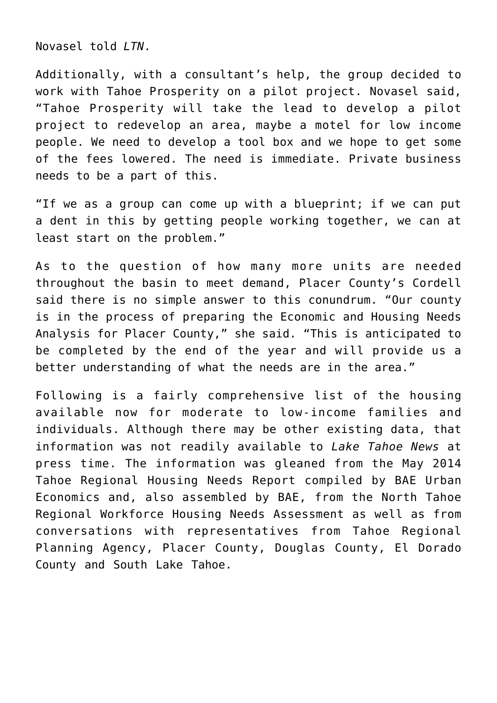Novasel told *LTN*.

Additionally, with a consultant's help, the group decided to work with Tahoe Prosperity on a pilot project. Novasel said, "Tahoe Prosperity will take the lead to develop a pilot project to redevelop an area, maybe a motel for low income people. We need to develop a tool box and we hope to get some of the fees lowered. The need is immediate. Private business needs to be a part of this.

"If we as a group can come up with a blueprint; if we can put a dent in this by getting people working together, we can at least start on the problem."

As to the question of how many more units are needed throughout the basin to meet demand, Placer County's Cordell said there is no simple answer to this conundrum. "Our county is in the process of preparing the Economic and Housing Needs Analysis for Placer County," she said. "This is anticipated to be completed by the end of the year and will provide us a better understanding of what the needs are in the area."

Following is a fairly comprehensive list of the housing available now for moderate to low-income families and individuals. Although there may be other existing data, that information was not readily available to *Lake Tahoe News* at press time. The information was gleaned from the May 2014 Tahoe Regional Housing Needs Report compiled by BAE Urban Economics and, also assembled by BAE, from the North Tahoe Regional Workforce Housing Needs Assessment as well as from conversations with representatives from Tahoe Regional Planning Agency, Placer County, Douglas County, El Dorado County and South Lake Tahoe.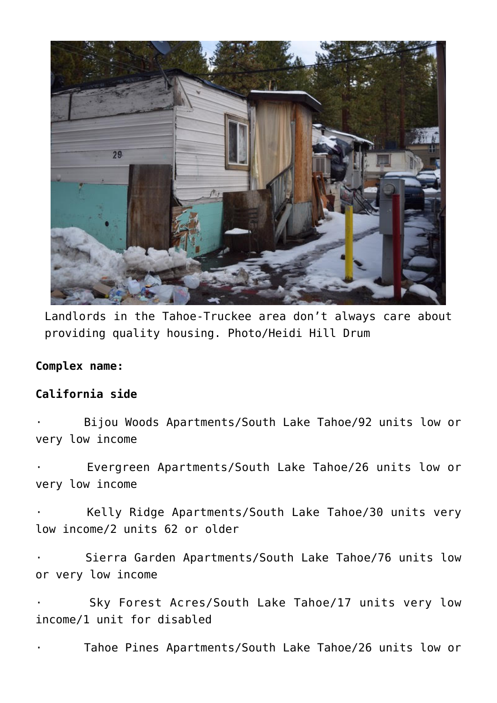

Landlords in the Tahoe-Truckee area don't always care about providing quality housing. Photo/Heidi Hill Drum

#### **Complex name:**

### **California side**

Bijou Woods Apartments/South Lake Tahoe/92 units low or very low income

Evergreen Apartments/South Lake Tahoe/26 units low or very low income

Kelly Ridge Apartments/South Lake Tahoe/30 units very low income/2 units 62 or older

Sierra Garden Apartments/South Lake Tahoe/76 units low or very low income

Sky Forest Acres/South Lake Tahoe/17 units very low income/1 unit for disabled

Tahoe Pines Apartments/South Lake Tahoe/26 units low or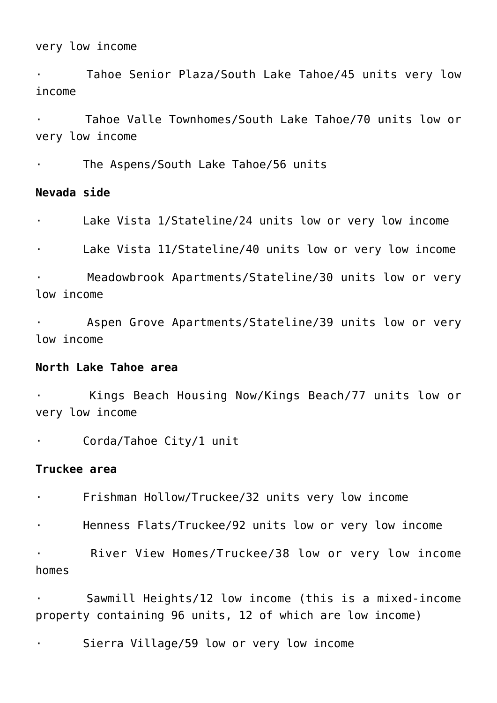very low income

Tahoe Senior Plaza/South Lake Tahoe/45 units very low income

· Tahoe Valle Townhomes/South Lake Tahoe/70 units low or very low income

The Aspens/South Lake Tahoe/56 units

# **Nevada side**

· Lake Vista 1/Stateline/24 units low or very low income

Lake Vista 11/Stateline/40 units low or very low income

Meadowbrook Apartments/Stateline/30 units low or very low income

Aspen Grove Apartments/Stateline/39 units low or very low income

#### **North Lake Tahoe area**

Kings Beach Housing Now/Kings Beach/77 units low or very low income

Corda/Tahoe City/1 unit

# **Truckee area**

Frishman Hollow/Truckee/32 units very low income

Henness Flats/Truckee/92 units low or very low income

River View Homes/Truckee/38 low or very low income homes

Sawmill Heights/12 low income (this is a mixed-income property containing 96 units, 12 of which are low income)

· Sierra Village/59 low or very low income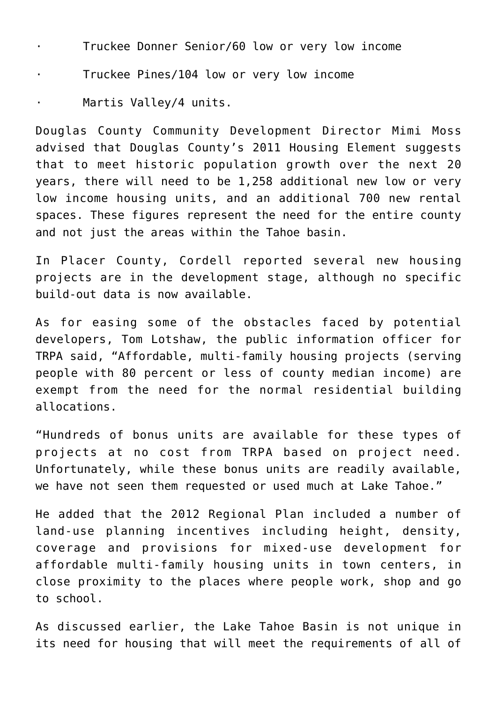- Truckee Donner Senior/60 low or very low income
- Truckee Pines/104 low or very low income
- Martis Vallev/4 units.

Douglas County Community Development Director Mimi Moss advised that Douglas County's 2011 Housing Element suggests that to meet historic population growth over the next 20 years, there will need to be 1,258 additional new low or very low income housing units, and an additional 700 new rental spaces. These figures represent the need for the entire county and not just the areas within the Tahoe basin.

In Placer County, Cordell reported several new housing projects are in the development stage, although no specific build-out data is now available.

As for easing some of the obstacles faced by potential developers, Tom Lotshaw, the public information officer for TRPA said, "Affordable, multi-family housing projects (serving people with 80 percent or less of county median income) are exempt from the need for the normal residential building allocations.

"Hundreds of bonus units are available for these types of projects at no cost from TRPA based on project need. Unfortunately, while these bonus units are readily available, we have not seen them requested or used much at Lake Tahoe."

He added that the 2012 Regional Plan included a number of land-use planning incentives including height, density, coverage and provisions for mixed-use development for affordable multi-family housing units in town centers, in close proximity to the places where people work, shop and go to school.

As discussed earlier, the Lake Tahoe Basin is not unique in its need for housing that will meet the requirements of all of